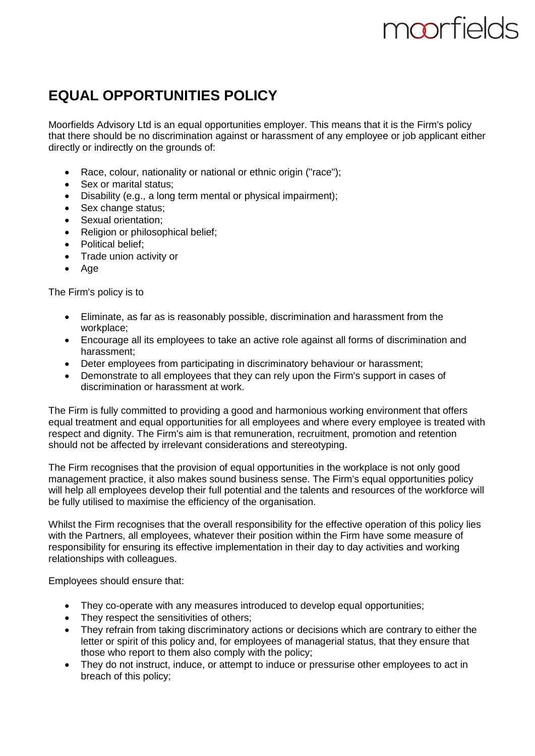# moorfields

# **EQUAL OPPORTUNITIES POLICY**

Moorfields Advisory Ltd is an equal opportunities employer. This means that it is the Firm's policy that there should be no discrimination against or harassment of any employee or job applicant either directly or indirectly on the grounds of:

- Race, colour, nationality or national or ethnic origin ("race");
- Sex or marital status:
- Disability (e.g., a long term mental or physical impairment);
- Sex change status;
- Sexual orientation;
- Religion or philosophical belief;
- Political belief:
- Trade union activity or
- Age

The Firm's policy is to

- Eliminate, as far as is reasonably possible, discrimination and harassment from the workplace;
- Encourage all its employees to take an active role against all forms of discrimination and harassment;
- Deter employees from participating in discriminatory behaviour or harassment;
- Demonstrate to all employees that they can rely upon the Firm's support in cases of discrimination or harassment at work.

The Firm is fully committed to providing a good and harmonious working environment that offers equal treatment and equal opportunities for all employees and where every employee is treated with respect and dignity. The Firm's aim is that remuneration, recruitment, promotion and retention should not be affected by irrelevant considerations and stereotyping.

The Firm recognises that the provision of equal opportunities in the workplace is not only good management practice, it also makes sound business sense. The Firm's equal opportunities policy will help all employees develop their full potential and the talents and resources of the workforce will be fully utilised to maximise the efficiency of the organisation.

Whilst the Firm recognises that the overall responsibility for the effective operation of this policy lies with the Partners, all employees, whatever their position within the Firm have some measure of responsibility for ensuring its effective implementation in their day to day activities and working relationships with colleagues.

Employees should ensure that:

- They co-operate with any measures introduced to develop equal opportunities;
- They respect the sensitivities of others;
- They refrain from taking discriminatory actions or decisions which are contrary to either the letter or spirit of this policy and, for employees of managerial status, that they ensure that those who report to them also comply with the policy;
- They do not instruct, induce, or attempt to induce or pressurise other employees to act in breach of this policy;